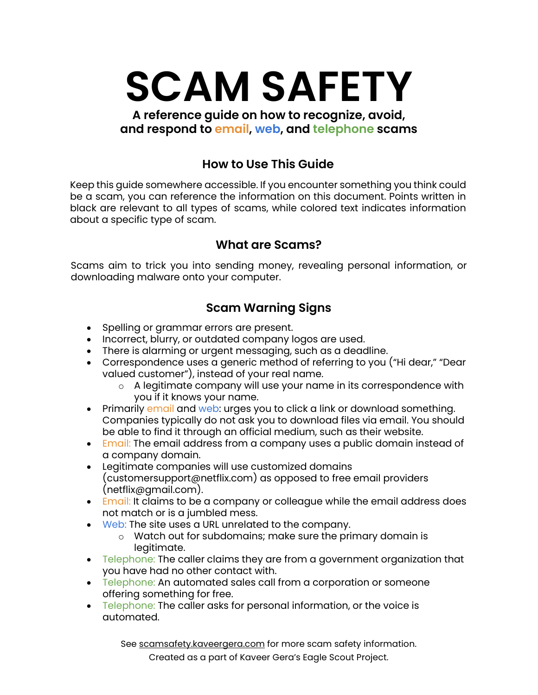**SCAM SAFETY**

**A reference guide on how to recognize, avoid, and respond to email, web, and telephone scams**

#### **How to Use This Guide**

Keep this guide somewhere accessible. If you encounter something you think could be a scam, you can reference the information on this document. Points written in black are relevant to all types of scams, while colored text indicates information about a specific type of scam.

#### **What are Scams?**

Scams aim to trick you into sending money, revealing personal information, or downloading malware onto your computer.

### **Scam Warning Signs**

- Spelling or grammar errors are present.
- Incorrect, blurry, or outdated company logos are used.
- There is alarming or urgent messaging, such as a deadline.
- Correspondence uses a generic method of referring to you ("Hi dear," "Dear valued customer"), instead of your real name.
	- o A legitimate company will use your name in its correspondence with you if it knows your name.
- Primarily email and web: urges you to click a link or download something. Companies typically do not ask you to download files via email. You should be able to find it through an official medium, such as their website.
- Email: The email address from a company uses a public domain instead of a company domain.
- Legitimate companies will use customized domains (customersupport@netflix.com) as opposed to free email providers (netflix@gmail.com).
- Email: It claims to be a company or colleague while the email address does not match or is a jumbled mess.
- Web: The site uses a URL unrelated to the company.
	- o Watch out for subdomains; make sure the primary domain is legitimate.
- Telephone: The caller claims they are from a government organization that you have had no other contact with.
- Telephone: An automated sales call from a corporation or someone offering something for free.
- Telephone: The caller asks for personal information, or the voice is automated.

See [scamsafety.kaveergera.com](https://scamsafety.kaveergera.com/) for more scam safety information.

Created as a part of Kaveer Gera's Eagle Scout Project.